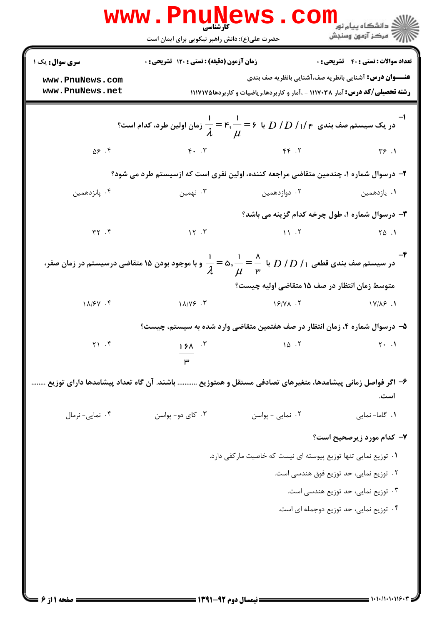|                                    | <b>www.rnunews</b><br>حضرت علی(ع): دانش راهبر نیکویی برای ایمان است                                                                      |                                                                                                                                                      | ≦ دانشگاه پيام نو <mark>ر</mark><br>رِ آھرڪز آزمون وسنجش |
|------------------------------------|------------------------------------------------------------------------------------------------------------------------------------------|------------------------------------------------------------------------------------------------------------------------------------------------------|----------------------------------------------------------|
| <b>سری سوال :</b> یک ۱             | <b>زمان آزمون (دقیقه) : تستی : 120 گشریحی : 0</b>                                                                                        |                                                                                                                                                      | <b>تعداد سوالات : تستي : 40 - تشريحي : 0</b>             |
| www.PnuNews.com<br>www.PnuNews.net |                                                                                                                                          | <b>عنـــوان درس:</b> آشنایی بانظریه صف،آشنایی بانظریه صف بندی<br><b>رشته تحصیلی/کد درس:</b> آمار ۱۱۱۷۰۳۸ - ،آمار و کاربردها،ریاضیات و کاربردها۱۱۷۱۷۵ |                                                          |
|                                    |                                                                                                                                          |                                                                                                                                                      |                                                          |
| ۴. ۵۶                              | $\gamma$ . $\gamma$ , $\gamma$                                                                                                           |                                                                                                                                                      | $Y^{6}$ .                                                |
|                                    | ۲- درسوال شماره ۱، چندمین متقاضی مراجعه کننده، اولین نفری است که ازسیستم طرد می شود؟                                                     |                                                                                                                                                      |                                                          |
| ۰۴ پانزدهمین                       | ۰۳ نهمین                                                                                                                                 | ۰۲ دوازدهمین                                                                                                                                         | ۰۱ يازدهمين                                              |
|                                    |                                                                                                                                          | ۰۳ درسوال شماره ۱، طول چرخه کدام گزینه می باشد؟                                                                                                      |                                                          |
| $\uparrow \uparrow$ . $\uparrow$   | $\mathcal{N}$ . $\mathcal{V}$                                                                                                            | $\mathcal{N}$ $\mathcal{N}$                                                                                                                          | $\begin{bmatrix} 0 & 1 \\ 0 & 1 \end{bmatrix}$           |
|                                    | در سیستم صف بندی قطعی ۱/ $D$ / $D$ با $\frac{1}{\lambda}=\frac{1}{\lambda}=\frac{1}{\mu}$ و با موجود بودن ۱۵ متقاضی درسیستم در زمان صفر، |                                                                                                                                                      |                                                          |
|                                    |                                                                                                                                          | متوسط زمان انتظار در صف ۱۵ متقاضی اولیه چیست؟                                                                                                        |                                                          |
| $1\lambda$ / $5\gamma$ . ۴         | $1\lambda/Y$ ۶.۳                                                                                                                         | $19/4$ . T                                                                                                                                           | $1Y/\lambda9$ .                                          |
|                                    | ۵– درسوال شماره ۴، زمان انتظار در صف هفتمین متقاضی وارد شده به سیستم، چیست؟                                                              |                                                                                                                                                      |                                                          |
| $Y \setminus \cdot$ $\uparrow$     | $15^{\circ}$<br>۳                                                                                                                        |                                                                                                                                                      |                                                          |
|                                    | ۶– اگر فواصل زمانی پیشامدها، متغیرهای تصادفی مستقل و همتوزیع  باشند. آن گاه تعداد پیشامدها دارای توزیع                                   |                                                                                                                                                      | است.                                                     |
| ۰۴ نمایی- نرمال                    | ۰۳ کای دو- پواسن                                                                                                                         | ٠٢ نمايى - پواسن                                                                                                                                     | ٠١ گاما- نمايى                                           |
|                                    |                                                                                                                                          |                                                                                                                                                      | ۷- کدام مورد زیرصحیح است؟                                |
|                                    |                                                                                                                                          | ۰۱ توزیع نمایی تنها توزیع پیوسته ای نیست که خاصیت مارکفی دارد.                                                                                       |                                                          |
|                                    |                                                                                                                                          |                                                                                                                                                      | ۰۲ توزیع نمایی، حد توزیع فوق هندسی است.                  |
|                                    |                                                                                                                                          |                                                                                                                                                      | ۰۳ توزیع نمایی، حد توزیع هندسی است.                      |
|                                    |                                                                                                                                          |                                                                                                                                                      | ۰۴ توزیع نمایی، حد توزیع دوجمله ای است.                  |
|                                    |                                                                                                                                          |                                                                                                                                                      |                                                          |
|                                    |                                                                                                                                          |                                                                                                                                                      |                                                          |
|                                    |                                                                                                                                          |                                                                                                                                                      |                                                          |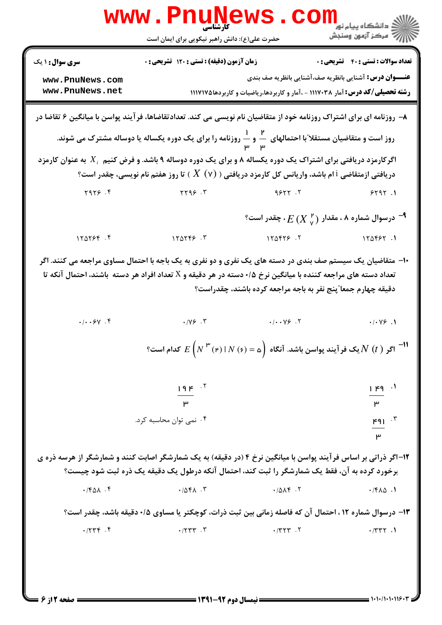|                                                              | WWW.FILUN<br>كأرشناسي<br>حضرت علی(ع): دانش راهبر نیکویی برای ایمان است                                                                                                                                                                                                                                                                              |                                                                                                                                                                                                                                                                  | ڪ دانشڪاه پيام نور<br>ر∕ = مرڪز آزمون وسنڊش                      |
|--------------------------------------------------------------|-----------------------------------------------------------------------------------------------------------------------------------------------------------------------------------------------------------------------------------------------------------------------------------------------------------------------------------------------------|------------------------------------------------------------------------------------------------------------------------------------------------------------------------------------------------------------------------------------------------------------------|------------------------------------------------------------------|
| <b>سری سوال :</b> ۱ یک<br>www.PnuNews.com<br>www.PnuNews.net | <b>زمان آزمون (دقیقه) : تستی : 120 تشریحی : 0</b>                                                                                                                                                                                                                                                                                                   | <b>عنـــوان درس:</b> آشنایی بانظریه صف،آشنایی بانظریه صف بندی<br><b>رشته تحصیلی/کد درس:</b> آمار ۱۱۱۷۰۳۸ - ،آمار و کاربردها،ریاضیات و کاربردها۱۱۷۱۷۵                                                                                                             | <b>تعداد سوالات : تستي : 40 - تشريحي : 0</b>                     |
|                                                              | ۸− روزنامه ای برای اشتراک روزنامه خود از متقاضیان نام نویسی می کند. تعدادتقاضاها، فرآیند پواسن با میانگین ۶ تقاضا در<br>روز است و متقاضیان مستقلا ّبا احتمالهای مسلم اسلام را برای یک دوره یکساله یا دوساله مشترک می شوند.<br>سامس<br>اگرکارمزد دریافتی برای اشتراک یک دوره یکساله ۸ و برای یک دوره دوساله ۹ باشد. و فرض کنیم $X_i$ به عنوان کارمزد |                                                                                                                                                                                                                                                                  |                                                                  |
|                                                              | دریافتی ازمتقاضی i ام باشد، واریانس کل کارمزد دریافتی ( $X\;$ ) تا روز هفتم نام نویسی، چقدر است؟                                                                                                                                                                                                                                                    |                                                                                                                                                                                                                                                                  |                                                                  |
| Y9Y5.                                                        | YY99.7                                                                                                                                                                                                                                                                                                                                              | 9877.7                                                                                                                                                                                                                                                           | 5191.1                                                           |
|                                                              |                                                                                                                                                                                                                                                                                                                                                     | °- درسوال شماره ۸ ، مقدار $^{ \, \prime \, \tt}$ $E$ ، $^{\tt T}$ ، چقدر است $^{\tt \tt}$                                                                                                                                                                        |                                                                  |
| 170756.5                                                     | 170799.7                                                                                                                                                                                                                                                                                                                                            | 170975.7                                                                                                                                                                                                                                                         | 150557.1                                                         |
| $\cdot/\cdot\cdot$ ۶γ.۴                                      | تعداد دسته های مراجعه کننده با میانگین نرخ ۰/۵ دسته در هر دقیقه و X تعداد افراد هر دسته باشند، احتمال آنکه تا<br>$\cdot$ /YS $\cdot$ $\cdot$ $\cdot$ $\cdot$                                                                                                                                                                                        | دقیقه چهارم جمعا ّپنج نفر به باجه مراجعه کرده باشند، چقدراست؟<br>$\cdot/\cdot\cdot\vee\circ$ .<br>یک فر آیند پواسن باشد. آنگاه $\int\mathsf{D}(F)\cdot\mathsf{N}(\mathsf{F})=E\left(N^{\mathsf{P}^*}(\mathsf{F})\mid N(\mathsf{F})\right)=\frac{1}{2}$ کدام است؟ | $\cdot$ / $\cdot$ $\vee$ $\in$ $\cdot$ $\wedge$                  |
|                                                              | $19F$ $.7$<br>$\mu$<br>۰۴ نمی توان محاسبه کرد.                                                                                                                                                                                                                                                                                                      |                                                                                                                                                                                                                                                                  | $1 - 1 - 1$<br>۳<br>$F91$ <sup><math>\cdot</math></sup><br>$\mu$ |
|                                                              | ۱۲-اگر ذراتی بر اساس فرآیند پواسن با میانگین نرخ ۴ (در دقیقه) به یک شمارشگر اصابت کنند و شمارشگر از هرسه ذره ی<br>برخورد کرده به آن، فقط یک شمارشگر را ثبت کند، احتمال آنکه درطول یک دقیقه یک ذره ثبت شود چیست؟                                                                                                                                     |                                                                                                                                                                                                                                                                  |                                                                  |
| $\cdot$ / $\uparrow$ $\uparrow$ $\uparrow$                   | .7041                                                                                                                                                                                                                                                                                                                                               | .7014                                                                                                                                                                                                                                                            | .7640.1                                                          |
|                                                              | ۱۳- درسوال شماره ۱۲ ، احتمال آن که فاصله زمانی بین ثبت ذرات، کوچکتر یا مساوی ۰/۵ دقیقه باشد، چقدر است؟                                                                                                                                                                                                                                              |                                                                                                                                                                                                                                                                  |                                                                  |
| .7744                                                        | $\cdot$ /٢٣٣.                                                                                                                                                                                                                                                                                                                                       | $\cdot$ / $\uparrow$ $\uparrow$ $\uparrow$ $\uparrow$ $\uparrow$                                                                                                                                                                                                 | .7777.1                                                          |
|                                                              |                                                                                                                                                                                                                                                                                                                                                     |                                                                                                                                                                                                                                                                  |                                                                  |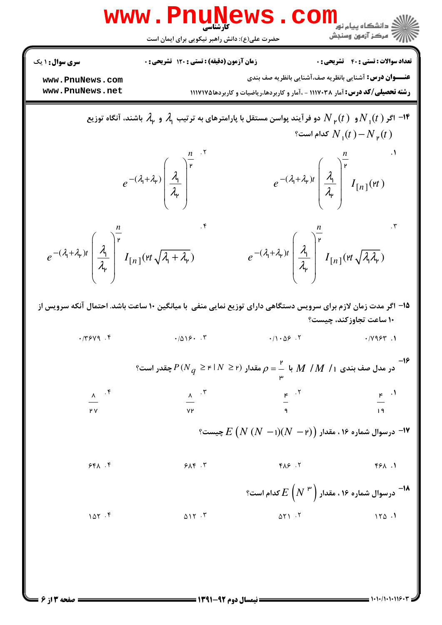|                                                                                                                              | www.PnuNews                                                                                                                                   |                                                                                                                                                      |                                                          |
|------------------------------------------------------------------------------------------------------------------------------|-----------------------------------------------------------------------------------------------------------------------------------------------|------------------------------------------------------------------------------------------------------------------------------------------------------|----------------------------------------------------------|
|                                                                                                                              | حضرت علی(ع): دانش راهبر نیکویی برای ایمان است                                                                                                 |                                                                                                                                                      |                                                          |
| <b>سری سوال :</b> ۱ یک                                                                                                       | <b>زمان آزمون (دقیقه) : تستی : 120 گشریحی : 0</b>                                                                                             |                                                                                                                                                      | <b>تعداد سوالات : تستي : 40 - تشريحي : 0</b>             |
| www.PnuNews.com<br>www.PnuNews.net                                                                                           |                                                                                                                                               | <b>عنـــوان درس:</b> آشنایی بانظریه صف،آشنایی بانظریه صف بندی<br><b>رشته تحصیلی/کد درس:</b> آمار ۱۱۱۷۰۳۸ - ،آمار و کاربردها،ریاضیات و کاربردها۱۱۷۱۷۵ |                                                          |
|                                                                                                                              | اگر ( $N_{\rm p}(t)$ و $N_{\rm p}(t)$ دو فرآیند پواسن مستقل با پارامترهای به ترتیب $\lambda$ و $\lambda_{\rm p}$ باشند، آنگاه توزیع $\lambda$ |                                                                                                                                                      | گدام است؟ $N_+(t) - N_+(t)$                              |
|                                                                                                                              | $e^{-(\lambda_1+\lambda_1)}\left(\frac{\lambda_1}{\lambda_1}\right)^{\frac{1}{\mu}}$                                                          | $e^{-(\lambda_1+\lambda_{\mathfrak{p}})t}\left(\frac{\lambda_1}{\lambda_{\mathfrak{p}}}\right)^{\frac{t^2}{\mathfrak{p}}}I_{[n]}(\mathfrak{p}t)$     |                                                          |
| $e^{-(\lambda_{1}+\lambda_{r})t} \left(\frac{\lambda_{1}}{\lambda_{r}}\right)^{r} I_{[n]}(rt\sqrt{\lambda_{1}+\lambda_{r}})$ |                                                                                                                                               | $e^{-(\lambda_{1}+\lambda_{r})t}\left(\frac{\lambda_{1}}{\lambda_{r}}\right)^{\frac{n}{r}}I_{[n]}(rt\sqrt{\lambda_{r}\lambda_{r}})$                  |                                                          |
|                                                                                                                              | ۱۵– اگر مدت زمان لازم برای سرویس دستگاهی دارای توزیع نمایی منفی با میانگین ۱۰ ساعت باشد. احتمال آنکه سرویس از                                 |                                                                                                                                                      | ۱۰ ساعت تجاوزکند، چیست؟                                  |
| .7799.                                                                                                                       | .7019.7                                                                                                                                       | $\cdot / \cdot \Delta 5$ .                                                                                                                           | $\cdot$ $/ \vee$ $\circ$ $\circ$ $\cdot$ $\cdot$ $\cdot$ |
|                                                                                                                              | در مدل صف بندی ۱/ $M$ / $M$ با $\frac{\mathsf{P}}{\mathsf{P}} = \rho$ مقدار $\rho = \mathsf{P} \mid N \geq P$ چقدر است؟ $M \neq M$            |                                                                                                                                                      |                                                          |
| $\frac{\lambda}{\sqrt{2}}$ .                                                                                                 | $\frac{x}{y}$ $\frac{y}{y}$                                                                                                                   | $\frac{16}{9}$ . T                                                                                                                                   | $\frac{16}{19}$ .                                        |
| ۲V                                                                                                                           |                                                                                                                                               |                                                                                                                                                      |                                                          |
|                                                                                                                              |                                                                                                                                               | $^{\circ}$ ۱۶ - درسوال شماره ۱۶ ، مقدار $E\left(N\left(N\ -\right)\right)\left(N\ -\right)$ چیست $^{\circ}$                                          |                                                          |
| 541.5                                                                                                                        | 949.7                                                                                                                                         | $Y \wedge Z$                                                                                                                                         | 1. ۱۶۴                                                   |
|                                                                                                                              |                                                                                                                                               | درسوال شماره ۱۶ ، مقدار $E\left( N^{\left  \frac{\mu}{r} \right.} \right)$ کدام است؟ $^{-1}$                                                         |                                                          |
| 107.9                                                                                                                        | 017.7                                                                                                                                         | $\Delta Y$ $\cdot$ $\cdot$                                                                                                                           | 150.1                                                    |
|                                                                                                                              |                                                                                                                                               |                                                                                                                                                      |                                                          |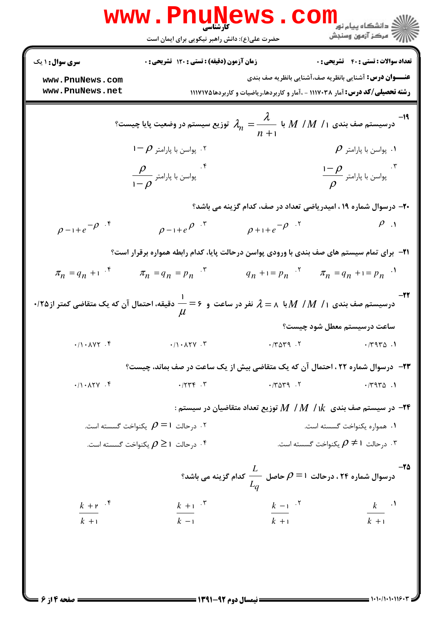$= 1.1.11.1118$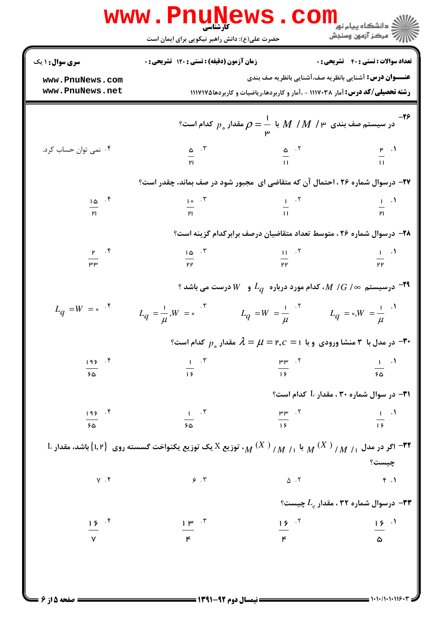|                                      | www.Pnunews.<br>حضرت علی(ع): دانش راهبر نیکویی برای ایمان است                                                  | CO                     | ران دانشگاه پيام نور<br>دانشگاه پيام نور <mark>کن</mark>                                                                               |
|--------------------------------------|----------------------------------------------------------------------------------------------------------------|------------------------|----------------------------------------------------------------------------------------------------------------------------------------|
| سری سوال: ۱ یک                       | زمان آزمون (دقیقه) : تستی : 120 تشریحی : 0                                                                     |                        | <b>تعداد سوالات : تستي : 40 قشريحي : 0</b>                                                                                             |
| www.PnuNews.com<br>www.PnuNews.net   |                                                                                                                |                        | <b>عنـــوان درس:</b> آشنایی بانظریه صف،آشنایی بانظریه صف بندی                                                                          |
|                                      |                                                                                                                |                        | <b>رشته تحصیلی/کد درس:</b> آمار ۱۱۱۷۰۳۸ - ،آمار و کاربردها،ریاضیات و کاربردها۱۱۷۱۷۵                                                    |
|                                      |                                                                                                                |                        | -۲۶ در سیستم صف بندی $M$ / $M$ / $M$ با $\rho=\frac{1}{\mathfrak{p}}$ مقدار $\rho_s$ کدام است $\rho$                                   |
| ۰۴ نمی توان حساب کرد.                |                                                                                                                |                        | $\frac{\omega}{\mu_1}$ . T $\frac{\omega}{\mu_1}$ . T $\frac{\omega}{\mu_1}$ . T $\frac{\omega}{\mu_1}$                                |
|                                      |                                                                                                                |                        |                                                                                                                                        |
|                                      | ۲۷- درسوال شماره ۲۶ ، احتمال آن که متقاضی ای ًمجبور شود در صف بماند، چقدر است؟                                 |                        |                                                                                                                                        |
| $\frac{10}{10}$ $\frac{1}{10}$       |                                                                                                                |                        | $\frac{1}{p_1}$ $\frac{1}{p_2}$ $\frac{1}{p_3}$ $\frac{1}{p_4}$ $\frac{1}{p_5}$ $\frac{1}{p_6}$ $\frac{1}{p_7}$ $\frac{1}{p_8}$        |
|                                      |                                                                                                                |                        |                                                                                                                                        |
|                                      |                                                                                                                |                        | ۲۸– درسوال شماره ۲۶ ، متوسط تعداد متقاضیان درصف برابرکدام گزینه است؟                                                                   |
| $\frac{y}{\mu}$ . $\frac{y}{\mu}$    | $\frac{10}{\mu}$ . T                                                                                           | $\frac{11}{\mu}$ . T   | $\frac{1}{PP}$ . $\frac{1}{P}$                                                                                                         |
|                                      |                                                                                                                |                        |                                                                                                                                        |
|                                      |                                                                                                                |                        | $^{\circ}$ درسیستم $^{\circ}$ / $^{\prime}$ // $^{\prime}$ ، کدام مورد درباره $^{\prime}$ و $^{\prime}$ درست می باشد $^{-\textsf{FT}}$ |
| $L_q = W = e^{-(\xi)}$               | $L_q = \frac{1}{\mu}, W = \frac{1}{\mu}$ $L_q = W = \frac{1}{\mu}$ $L_q = \frac{1}{\mu}$ $L_q = \frac{1}{\mu}$ |                        |                                                                                                                                        |
|                                      |                                                                                                                |                        | °س مدل با ۳ منشا ورودی و با ۱ $\mu=\mu=\mathfrak{e},$ مقدار $p_{\circ}$ کدام است $\mathfrak{e}$                                        |
| $195$ $^{5}$                         | $\frac{1}{15}$ $\frac{1}{15}$                                                                                  | $\frac{p_1}{15}$ . T   | $rac{1}{50}$ $\cdot$ <sup>1</sup>                                                                                                      |
| ۶۵                                   |                                                                                                                |                        |                                                                                                                                        |
|                                      |                                                                                                                |                        | ا - در سوال شماره ۳۰ ، مقدار $\rm L$ کدام است $\rm P$                                                                                  |
| 195.7                                | $\frac{1}{50}$ $\cdot$ $\cdot$ $\cdot$                                                                         | $\frac{p_1 p_2}{15}$ . | $\frac{1}{15}$                                                                                                                         |
| ۶۵                                   |                                                                                                                |                        |                                                                                                                                        |
|                                      |                                                                                                                |                        | چیست؟                                                                                                                                  |
| $Y \cdot Y$                          | 9.7                                                                                                            | $\Delta$ . ٢           | f.1                                                                                                                                    |
|                                      |                                                                                                                |                        | °C درسوال شماره ۳۲ ، مقدار $L_{q}$ چیست $\bullet$                                                                                      |
| $\frac{15}{V}$ $\cdot$ $\frac{5}{V}$ | $\frac{1 \mu}{\mu}$ .                                                                                          |                        | $\frac{15}{4}$                                                                                                                         |
|                                      |                                                                                                                | $\frac{15}{15}$ . T    |                                                                                                                                        |
|                                      |                                                                                                                |                        |                                                                                                                                        |
|                                      |                                                                                                                |                        |                                                                                                                                        |

صفحه 5 از 6 =